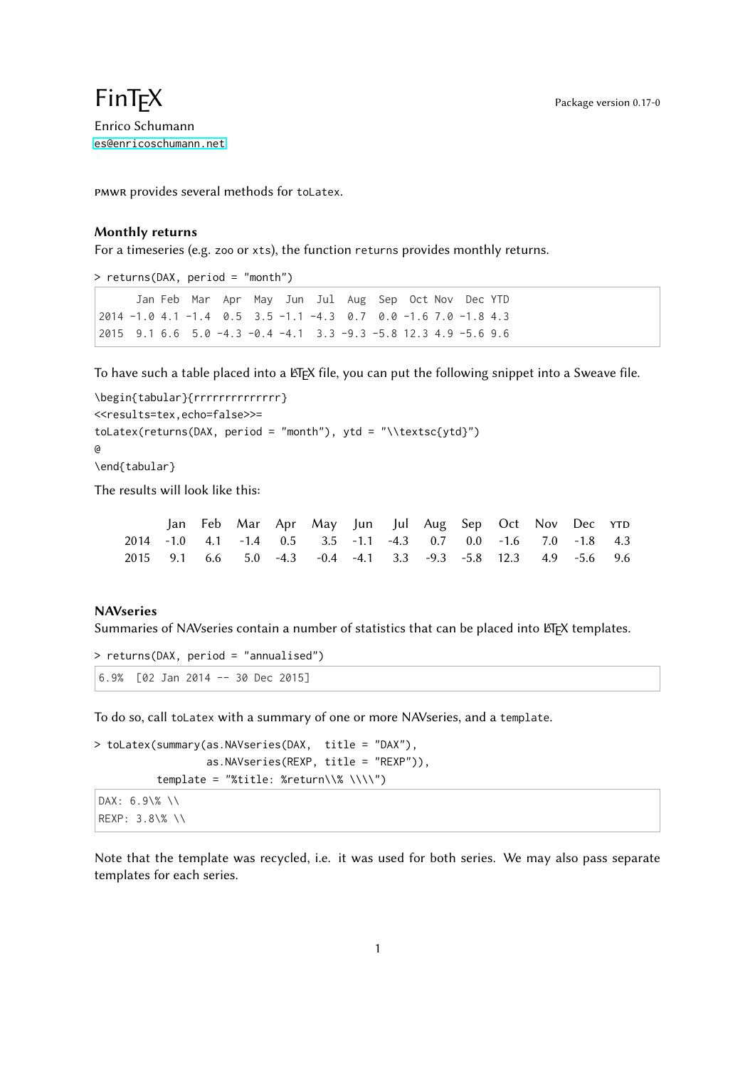## $\mathsf{Fin}\mathsf{TEX}$  Package version 0.17-0 Enrico Schumann

<es@enricoschumann.net>

pmwr provides several methods for toLatex.

## Monthly returns

For a timeseries (e.g. zoo or xts), the function returns provides monthly returns.

> returns(DAX, period = "month")

```
Jan Feb Mar Apr May Jun Jul Aug Sep Oct Nov Dec YTD
2014 -1.0 4.1 -1.4 0.5 3.5 -1.1 -4.3 0.7 0.0 -1.6 7.0 -1.8 4.3
2015 9.1 6.6 5.0 -4.3 -0.4 -4.1 3.3 -9.3 -5.8 12.3 4.9 -5.6 9.6
```
To have such a table placed into a ETEX file, you can put the following snippet into a Sweave file.

```
\begin{tabular}{rrrrrrrrrrrrrr}
<<results=tex,echo=false>>=
toLatex(returns(DAX, period = "month"), ytd = "\\textsc{ytd}")
@
\end{tabular}
```
The results will look like this:

|  |  | Jan Feb Mar Apr May Jun Jul Aug Sep Oct Nov Dec YTD             |  |  |  |  |
|--|--|-----------------------------------------------------------------|--|--|--|--|
|  |  | 2014 -1.0 4.1 -1.4 0.5 3.5 -1.1 -4.3 0.7 0.0 -1.6 7.0 -1.8 4.3  |  |  |  |  |
|  |  | 2015 9.1 6.6 5.0 -4.3 -0.4 -4.1 3.3 -9.3 -5.8 12.3 4.9 -5.6 9.6 |  |  |  |  |

## **NAVseries**

Summaries of NAVseries contain a number of statistics that can be placed into LATEX templates.

```
> returns(DAX, period = "annualised")
6.9% [02 Jan 2014 -- 30 Dec 2015]
```
To do so, call toLatex with a summary of one or more NAVseries, and a template.

```
> toLatex(summary(as.NAVseries(DAX, title = "DAX"),
                  as.NAVseries(REXP, title = "REXP")),
          template = "%title: %return\\% \\\\")
```

```
DAX: 6.9\% \\
REXP: 3.8\% \\
```
Note that the template was recycled, i.e. it was used for both series. We may also pass separate templates for each series.